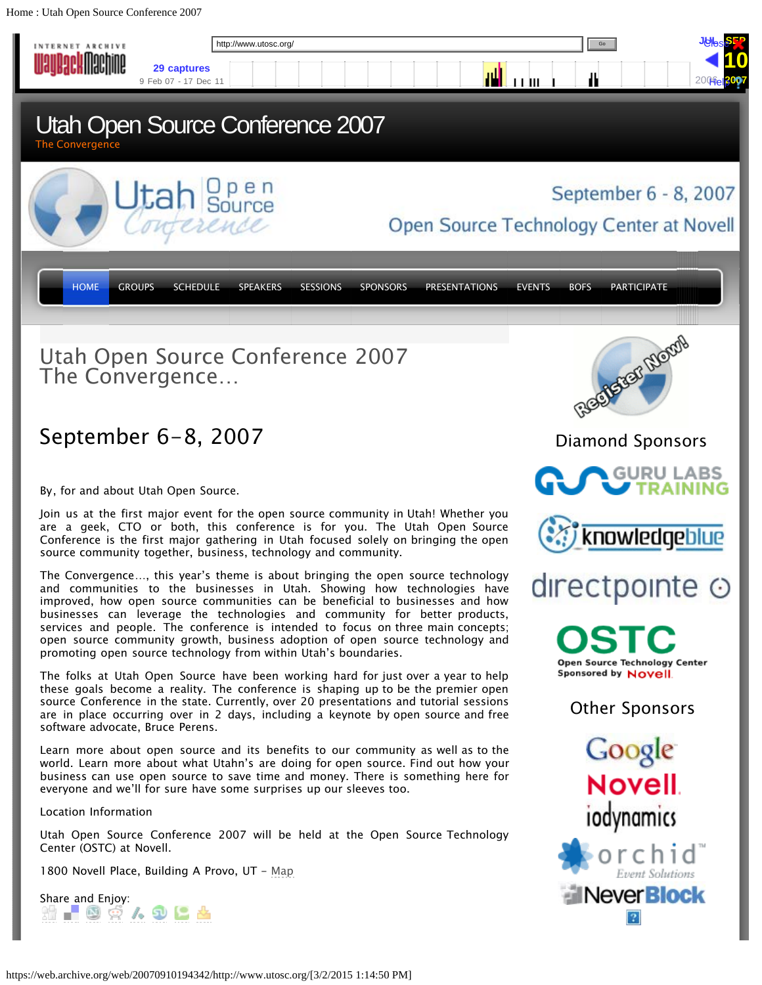<span id="page-0-0"></span>Home : Utah Open Source Conference 2007

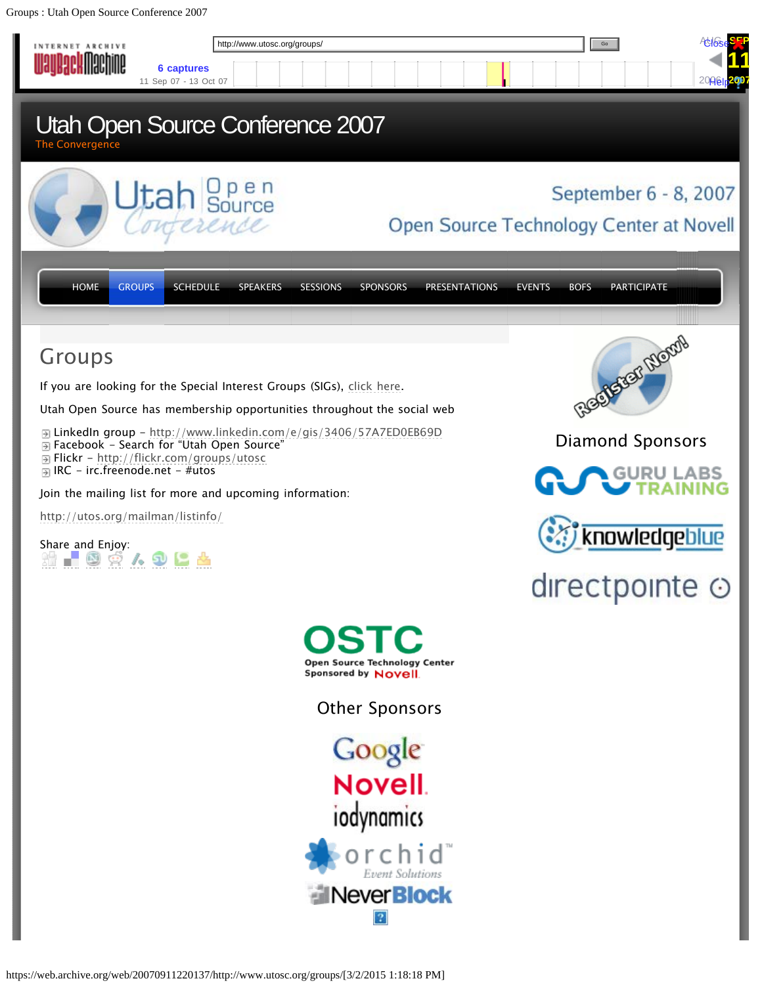<span id="page-1-0"></span>Groups : Utah Open Source Conference 2007

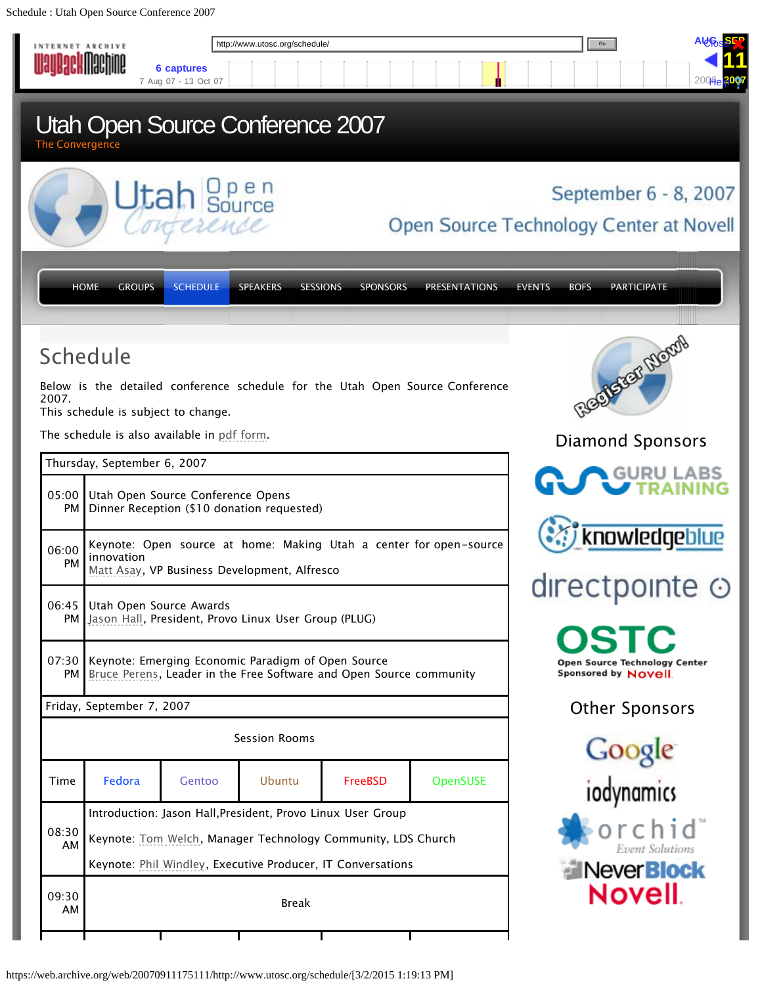<span id="page-2-0"></span>Schedule : Utah Open Source Conference 2007

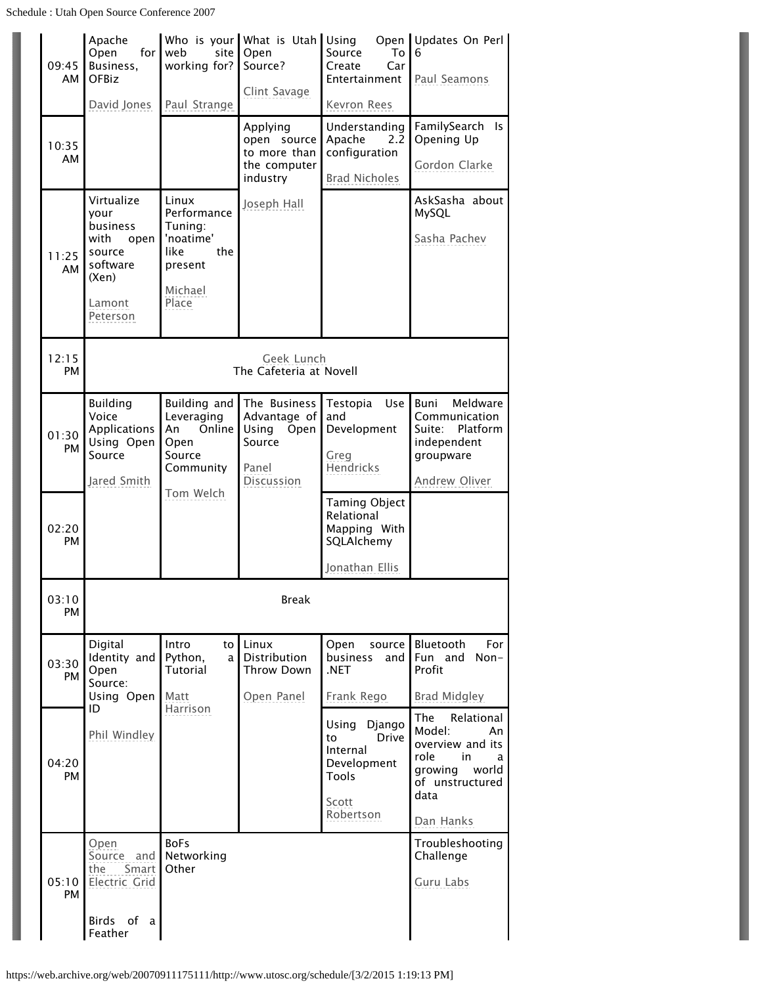| 09:45<br>AM  | Apache<br>Open<br>for<br>Business,<br><b>OFBiz</b><br>David Jones                                   | web<br>site<br>working for?<br>Paul Strange                                                | Who is your What is Utah<br>Open<br>Source?<br>Clint Savage                    | Using<br>Source<br>To<br>Create<br>Car<br>Entertainment<br>Kevron Rees                          | Open Updates On Perl<br>6<br>Paul Seamons                                                                                          |  |  |  |  |  |
|--------------|-----------------------------------------------------------------------------------------------------|--------------------------------------------------------------------------------------------|--------------------------------------------------------------------------------|-------------------------------------------------------------------------------------------------|------------------------------------------------------------------------------------------------------------------------------------|--|--|--|--|--|
| 10:35<br>AM  |                                                                                                     |                                                                                            | Applying<br>open source<br>to more than<br>the computer<br>industry            | Understanding<br>Apache<br>2.2<br>configuration<br><b>Brad Nicholes</b>                         | FamilySearch Is<br>Opening Up<br>Gordon Clarke                                                                                     |  |  |  |  |  |
| 11:25<br>AM. | Virtualize<br>vour<br>business<br>with<br>open<br>source<br>software<br>(Xen)<br>Lamont<br>Peterson | Linux<br>Performance<br>Tuning:<br>'noatime'<br>like<br>the<br>present<br>Michael<br>Place | Joseph Hall                                                                    |                                                                                                 | AskSasha about<br>MySQL<br>Sasha Pachev                                                                                            |  |  |  |  |  |
| 12:15<br>PM  | Geek Lunch<br>The Cafeteria at Novell                                                               |                                                                                            |                                                                                |                                                                                                 |                                                                                                                                    |  |  |  |  |  |
| 01:30<br>PM  | <b>Building</b><br>Voice<br>Applications<br>Using Open<br>Source<br>Jared Smith                     | Building and<br>Leveraging<br>Online<br>An<br>Open<br>Source<br>Community                  | The Business<br>Advantage of<br>Using<br>Open<br>Source<br>Panel<br>Discussion | Testopia<br>Use<br>and<br>Development<br>Greg<br>Hendricks                                      | Meldware<br>Buni<br>Communication<br>Platform<br>Suite:<br>independent<br>groupware<br>Andrew Oliver                               |  |  |  |  |  |
| 02:20<br>PM  |                                                                                                     | Tom Welch                                                                                  |                                                                                | Taming Object<br>Relational<br>Mapping With<br>SQLAIchemy<br>Jonathan Ellis                     |                                                                                                                                    |  |  |  |  |  |
| 03:10<br>PM  |                                                                                                     | <b>Break</b>                                                                               |                                                                                |                                                                                                 |                                                                                                                                    |  |  |  |  |  |
| 03:30<br>PM  | Digital<br>Identity and<br>Open<br>Source:<br>Using Open                                            | Intro<br>to I<br>Python,<br>a l<br><b>Tutorial</b><br>Matt                                 | Linux<br>Distribution<br>Throw Down<br>Open Panel                              | Open<br>source l<br>business<br>and I<br>.NET<br>Frank Rego                                     | Bluetooth<br>For<br>Fun and<br>$Non-$<br>Profit<br>Brad Midgley                                                                    |  |  |  |  |  |
| 04:20<br>PM  | ID<br>Phil Windley                                                                                  | Harrison                                                                                   |                                                                                | Using<br>Django<br><b>Drive</b><br>to<br>Internal<br>Development<br>Tools<br>Scott<br>Robertson | The<br>Relational<br>Model:<br>An<br>overview and its<br>role<br>in.<br>a<br>growing world<br>of unstructured<br>data<br>Dan Hanks |  |  |  |  |  |
| 05:10<br>PM  | Open<br>Source and<br>the<br>Smart<br>Electric Grid<br>Birds of a<br>Feather                        | <b>BoFs</b><br>Networking<br>Other                                                         |                                                                                |                                                                                                 | Troubleshooting<br>Challenge<br>Guru Labs                                                                                          |  |  |  |  |  |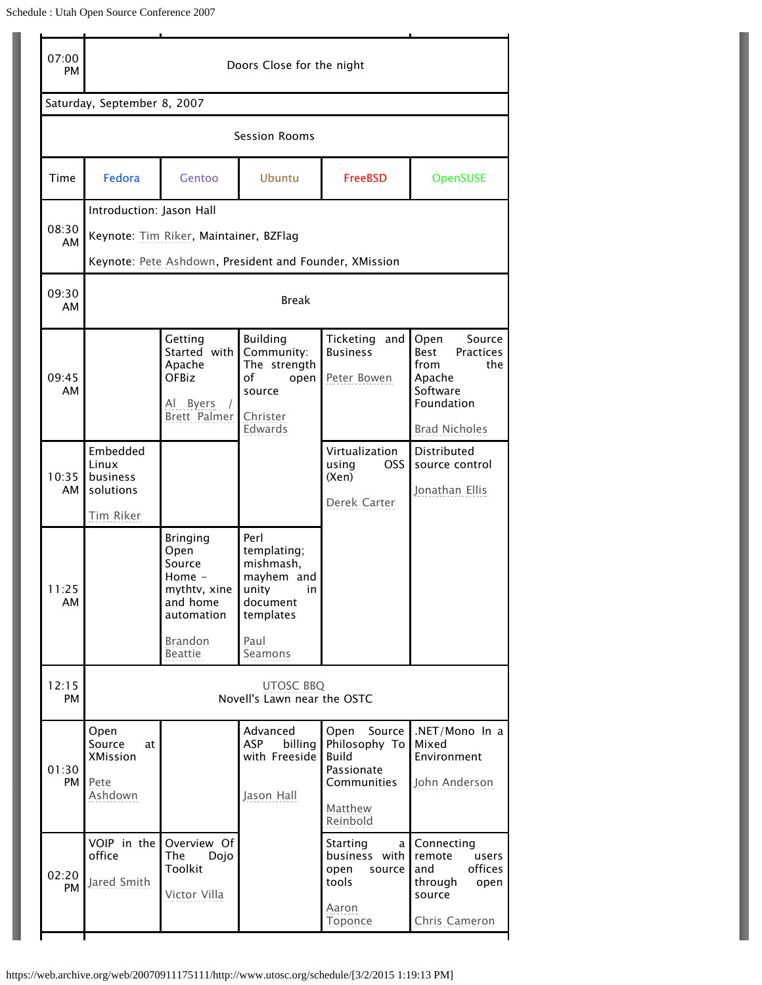| 07:00<br>PM                 | Doors Close for the night                                                                                                    |                                                                                       |                                                                                         |                                                                                                     |                                                                                                                       |  |  |  |
|-----------------------------|------------------------------------------------------------------------------------------------------------------------------|---------------------------------------------------------------------------------------|-----------------------------------------------------------------------------------------|-----------------------------------------------------------------------------------------------------|-----------------------------------------------------------------------------------------------------------------------|--|--|--|
| Saturday, September 8, 2007 |                                                                                                                              |                                                                                       |                                                                                         |                                                                                                     |                                                                                                                       |  |  |  |
| Session Rooms               |                                                                                                                              |                                                                                       |                                                                                         |                                                                                                     |                                                                                                                       |  |  |  |
| Time                        | Fedora                                                                                                                       | Gentoo                                                                                | Ubuntu                                                                                  | <b>FreeBSD</b>                                                                                      | OpenSUSE                                                                                                              |  |  |  |
| 08:30<br>AM                 | Introduction: Jason Hall<br>Keynote: Tim Riker, Maintainer, BZFlag<br>Keynote: Pete Ashdown, President and Founder, XMission |                                                                                       |                                                                                         |                                                                                                     |                                                                                                                       |  |  |  |
| 09:30<br>AM                 | <b>Break</b>                                                                                                                 |                                                                                       |                                                                                         |                                                                                                     |                                                                                                                       |  |  |  |
| 09:45<br>AM                 |                                                                                                                              | Getting<br>Started with<br>Apache<br>OFBiz<br><b>Byers</b><br>AI<br>Brett Palmer      | Building<br>Community:<br>The strength<br>of<br>open<br>source<br>Christer<br>Edwards   | Ticketing<br>and<br><b>Business</b><br>Peter Bowen                                                  | Open<br>Source<br>Best<br><b>Practices</b><br>from<br>the<br>Apache<br>Software<br>Foundation<br><b>Brad Nicholes</b> |  |  |  |
| 10:35<br>AМ                 | Embedded<br>Linux<br>business<br>solutions<br>Tim Riker                                                                      |                                                                                       |                                                                                         | Virtualization<br>OSS<br>using<br>(Xen)<br>Derek Carter                                             | Distributed<br>source control<br>Jonathan Ellis                                                                       |  |  |  |
| 11:25<br>AM                 |                                                                                                                              | <b>Bringing</b><br>Open<br>Source<br>Home -<br>mythtv, xine<br>and home<br>automation | Perl<br>templating;<br>mishmash,<br>mayhem and<br>unity<br>in.<br>document<br>templates |                                                                                                     |                                                                                                                       |  |  |  |
|                             |                                                                                                                              | <b>Brandon</b><br><b>Beattie</b>                                                      | Paul<br>Seamons                                                                         |                                                                                                     |                                                                                                                       |  |  |  |
| 12:15<br>PM                 | <b>UTOSC BBQ</b><br>Novell's Lawn near the OSTC                                                                              |                                                                                       |                                                                                         |                                                                                                     |                                                                                                                       |  |  |  |
| 01:30<br>PM                 | Open<br>Source<br>at<br><b>XMission</b><br>Pete<br>Ashdown                                                                   |                                                                                       | Advanced<br><b>ASP</b><br>billing<br>with Freeside<br>Jason Hall                        | Open<br>Source<br>Philosophy To<br><b>Build</b><br>Passionate<br>Communities<br>Matthew<br>Reinbold | .NET/Mono In a<br>Mixed<br>Environment<br>John Anderson                                                               |  |  |  |
| 02:20<br>PM                 | VOIP in the<br>office<br>Jared Smith                                                                                         | Overview Of<br>The<br>Dojo<br>Toolkit<br>Victor Villa                                 |                                                                                         | Starting<br>a  <br>business with<br>open<br>source<br>tools<br>Aaron<br>Toponce                     | Connecting<br>remote<br>users<br>offices<br>and<br>through<br>open<br>source<br>Chris Cameron                         |  |  |  |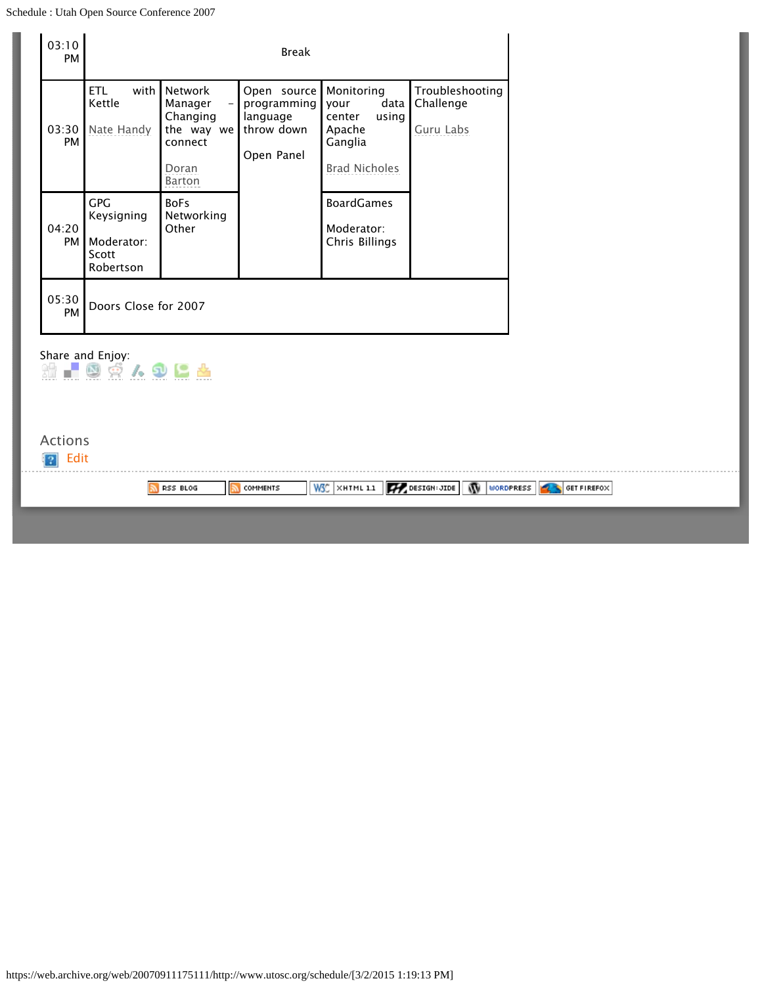| with<br>Network<br>Troubleshooting<br>ETL.<br>Open source<br>Monitoring<br>Kettle<br>data<br>Challenge<br>Manager<br>programming<br>your<br>Changing<br>language<br>center<br>using<br>03:30<br>Nate Handy<br>the way we<br>throw down<br>Apache<br>Guru Labs<br>PM<br>Ganglia<br>connect<br>Open Panel<br><b>Brad Nicholes</b><br>Doran<br>Barton<br><b>GPG</b><br><b>BoFs</b><br><b>BoardGames</b><br>Keysigning<br>Networking<br>04:20<br>Other<br>Moderator:<br>Moderator:<br>Chris Billings<br><b>PM</b><br>Scott<br>Robertson<br>05:30<br>Doors Close for 2007<br>PM<br>Share and Enjoy:<br>$\blacksquare$ @ $\phi$ / . Q L &<br>跪<br><b>Actions</b><br>Edit<br>$W_5^{\circ}$ $\times$ HTML 1.1<br>DESIGN: JIDE WORDPRESS 4 SET FIREFOX<br>RSS BLOG<br><b>COMMENTS</b> | 03:10<br>PM |  | <b>Break</b> |  |  |
|------------------------------------------------------------------------------------------------------------------------------------------------------------------------------------------------------------------------------------------------------------------------------------------------------------------------------------------------------------------------------------------------------------------------------------------------------------------------------------------------------------------------------------------------------------------------------------------------------------------------------------------------------------------------------------------------------------------------------------------------------------------------------|-------------|--|--------------|--|--|
|                                                                                                                                                                                                                                                                                                                                                                                                                                                                                                                                                                                                                                                                                                                                                                              |             |  |              |  |  |
|                                                                                                                                                                                                                                                                                                                                                                                                                                                                                                                                                                                                                                                                                                                                                                              |             |  |              |  |  |
|                                                                                                                                                                                                                                                                                                                                                                                                                                                                                                                                                                                                                                                                                                                                                                              |             |  |              |  |  |
|                                                                                                                                                                                                                                                                                                                                                                                                                                                                                                                                                                                                                                                                                                                                                                              |             |  |              |  |  |
|                                                                                                                                                                                                                                                                                                                                                                                                                                                                                                                                                                                                                                                                                                                                                                              |             |  |              |  |  |
|                                                                                                                                                                                                                                                                                                                                                                                                                                                                                                                                                                                                                                                                                                                                                                              |             |  |              |  |  |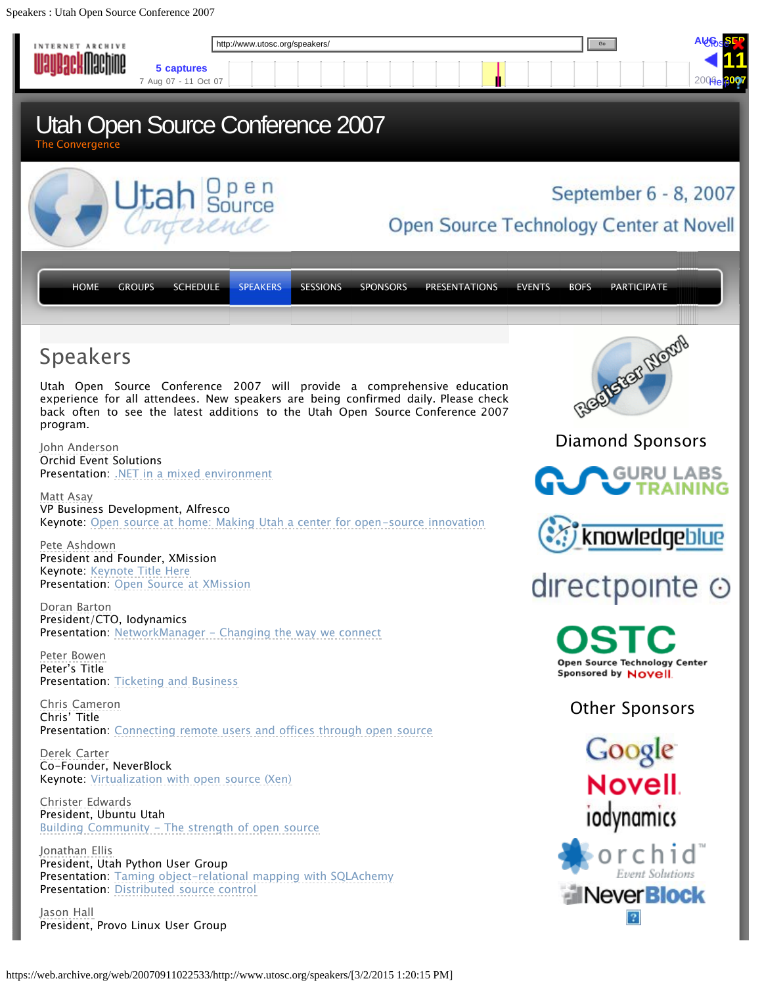<span id="page-6-0"></span>Speakers : Utah Open Source Conference 2007

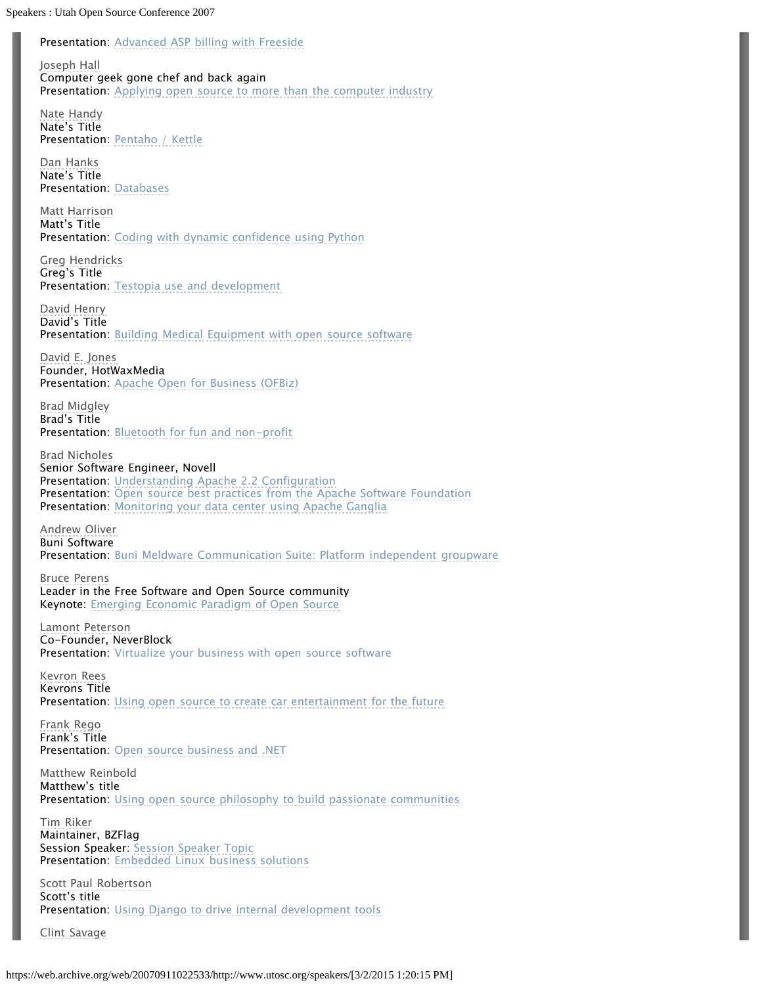Presentation: [Advanced ASP billing with Freeside](https://web.archive.org/web/20070911022533/http://www.utosc.org/speakers/jason-hall)

[Joseph Hall](https://web.archive.org/web/20070911022533/http://www.utosc.org/speakers/joseph-hall) Computer geek gone chef and back again Presentation: [Applying open source to more than the computer industry](https://web.archive.org/web/20070911022533/http://www.utosc.org/speakers/joseph-hall)

[Nate Handy](https://web.archive.org/web/20070911022533/http://www.utosc.org/speakers/nate-handy) Nate's Title Presentation: [Pentaho / Kettle](https://web.archive.org/web/20070911022533/http://www.utosc.org/speakers/nate-handy)

[Dan Hanks](https://web.archive.org/web/20070911022533/http://www.utosc.org/speakers/dan-hanks/) Nate's Title Presentation: [Databases](https://web.archive.org/web/20070911022533/http://www.utosc.org/speakers/dan-hanks/)

[Matt Harrison](https://web.archive.org/web/20070911022533/http://www.utosc.org/speakers/matt-harrison) Matt's Title Presentation: [Coding with dynamic confidence using Python](https://web.archive.org/web/20070911022533/http://www.utosc.org/speakers/matt-harrison)

[Greg Hendricks](https://web.archive.org/web/20070911022533/http://www.utosc.org/speakers/greg-hendricks) Greg's Title Presentation: [Testopia use and development](https://web.archive.org/web/20070911022533/http://www.utosc.org/speakers/greg-hendricks)

[David Henry](https://web.archive.org/web/20070911022533/http://www.utosc.org/speakers/david-henry) David's Title Presentation: [Building Medical Equipment with open source software](https://web.archive.org/web/20070911022533/http://www.utosc.org/speakers/david-henry)

[David E. Jones](https://web.archive.org/web/20070911022533/http://www.utosc.org/speakers/david-jones) Founder, HotWaxMedia Presentation: [Apache Open for Business \(OFBiz\)](https://web.archive.org/web/20070911022533/http://www.utosc.org/speakers/david-evans)

[Brad Midgley](https://web.archive.org/web/20070911022533/http://www.utosc.org/speakers/brad-midgley) Brad's Title Presentation: [Bluetooth for fun and non-profit](https://web.archive.org/web/20070911022533/http://www.utosc.org/speakers/brad-midgley)

[Brad Nicholes](https://web.archive.org/web/20070911022533/http://www.utosc.org/speakers/brad-nicholes) Senior Software Engineer, Novell Presentation: [Understanding Apache 2.2 Configuration](https://web.archive.org/web/20070911022533/http://www.utosc.org/speakers/brad-nicholes) Presentation: [Open source best practices from the Apache Software Foundation](https://web.archive.org/web/20070911022533/http://www.utosc.org/speakers/brad-nicholes) Presentation: [Monitoring your data center using Apache Ganglia](https://web.archive.org/web/20070911022533/http://www.utosc.org/speakers/brad-nicholes)

[Andrew Oliver](https://web.archive.org/web/20070911022533/http://www.utosc.org/speakers/andrew-oliver) Buni Software Presentation: [Buni Meldware Communication Suite: Platform independent groupware](https://web.archive.org/web/20070911022533/http://www.utosc.org/speakers/andrew-oliver)

[Bruce Perens](https://web.archive.org/web/20070911022533/http://www.utosc.org/speakers/bruce-perens/) Leader in the Free Software and Open Source community Keynote: [Emerging Economic Paradigm of Open Source](https://web.archive.org/web/20070911022533/http://www.utosc.org/speakers/bruce-perens)

[Lamont Peterson](https://web.archive.org/web/20070911022533/http://www.utosc.org/speakers/lamont-peterson/) Co-Founder, NeverBlock Presentation: Virtualize your business with open source software

[Kevron Rees](https://web.archive.org/web/20070911022533/http://www.utosc.org/speakers/kevron-rees) Kevrons Title Presentation: [Using open source to create car entertainment for the future](https://web.archive.org/web/20070911022533/http://www.utosc.org/speakers/kevron-rees/)

[Frank Rego](https://web.archive.org/web/20070911022533/http://www.utosc.org/speakers/frank-rego) Frank's Title Presentation: [Open source business and .NET](https://web.archive.org/web/20070911022533/http://www.utosc.org/speakers/frank-rego)

[Matthew Reinbold](https://web.archive.org/web/20070911022533/http://www.utosc.org/speakers/matthew-reinbold) Matthew's title Presentation: [Using open source philosophy to build passionate communities](https://web.archive.org/web/20070911022533/http://www.utosc.org/speakers/matthew-reinbold)

[Tim Riker](https://web.archive.org/web/20070911022533/http://www.utosc.org/speakers/tim-riker) Maintainer, BZFlag Session Speaker: [Session Speaker Topic](https://web.archive.org/web/20070911022533/http://www.utosc.org/speakers/tim-riker) Presentation: [Embedded Linux business solutions](https://web.archive.org/web/20070911022533/http://www.utosc.org/speakers/tim-riker)

[Scott Paul Robertson](https://web.archive.org/web/20070911022533/http://www.utosc.org/speakers/scott-paul-robertson) Scott's title Presentation: [Using Django to drive internal development tools](https://web.archive.org/web/20070911022533/http://www.utosc.org/speakers/scott-paul-robertson)

[Clint Savage](https://web.archive.org/web/20070911022533/http://www.utosc.org/about/clint-savage)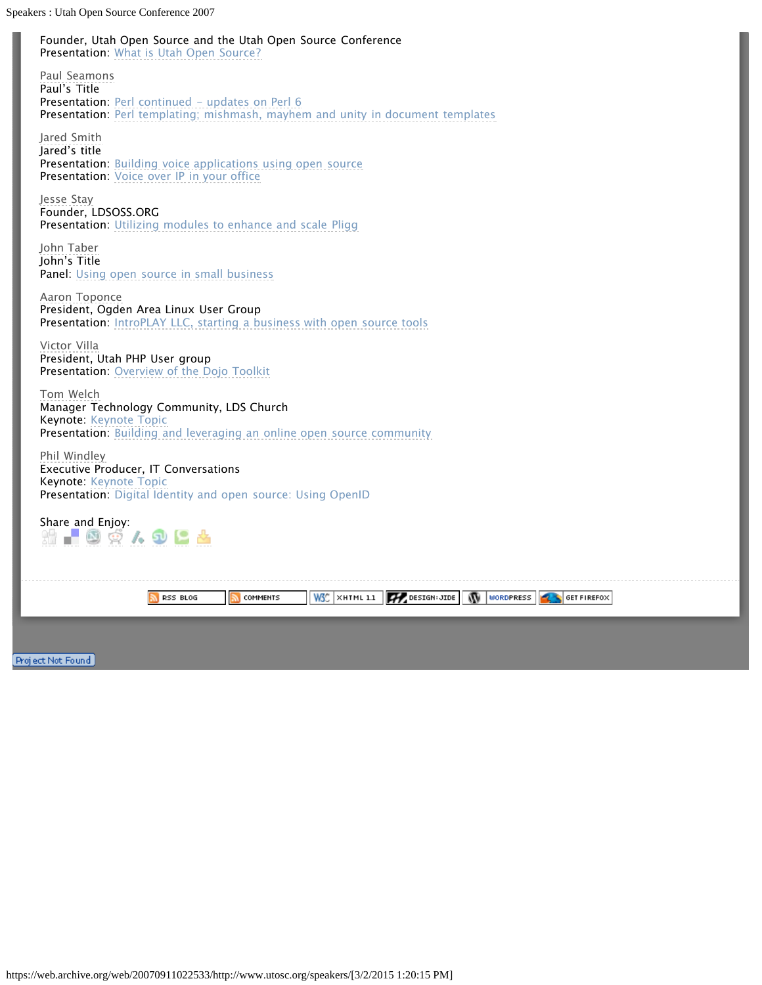Speakers : Utah Open Source Conference 2007

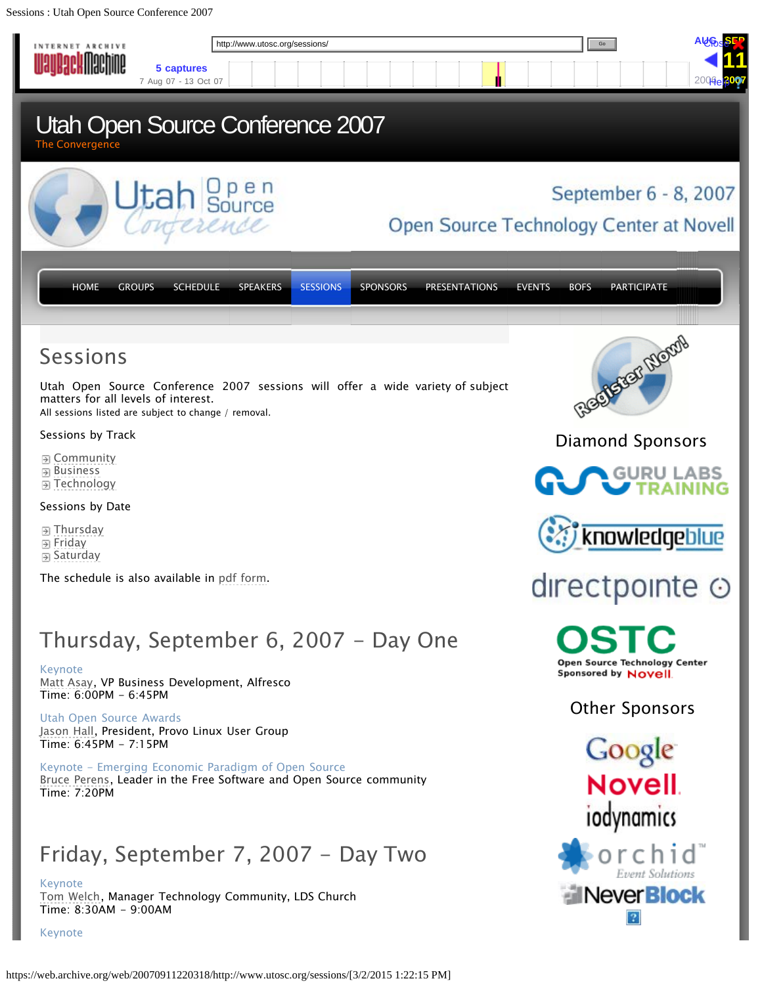<span id="page-9-0"></span>Sessions : Utah Open Source Conference 2007

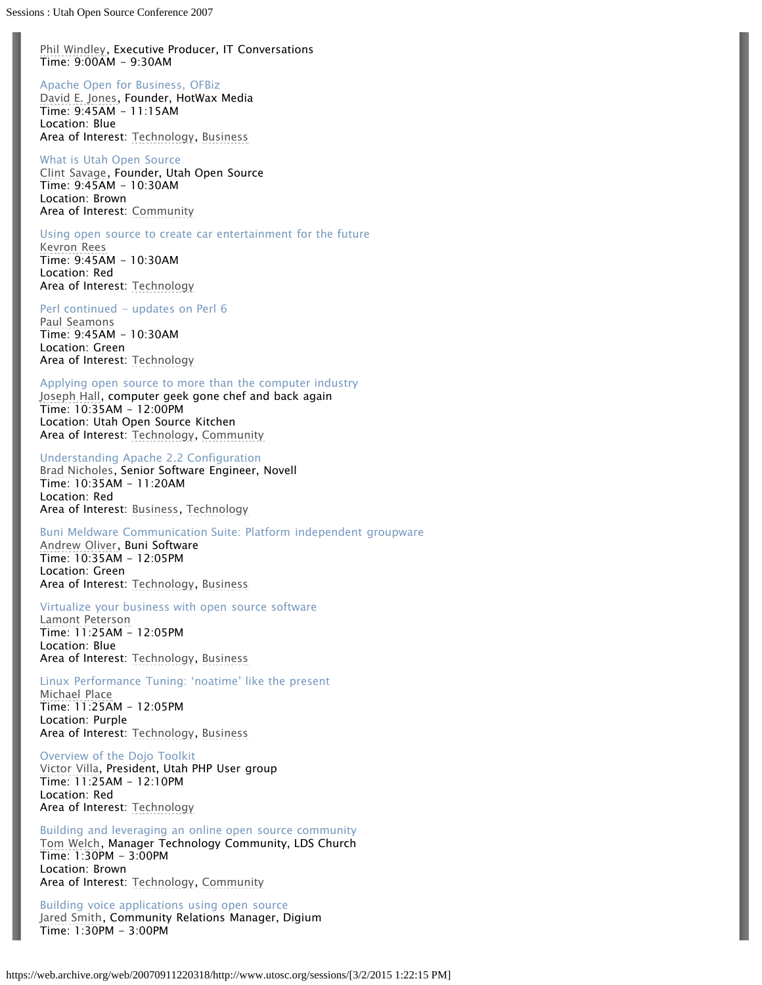[Phil Windley](https://web.archive.org/web/20070911220318/http://www.utosc.org/speakers/phil-windley), Executive Producer, IT Conversations Time: 9:00AM - 9:30AM

### Apache Open for Business, OFBiz

[David E. Jones](https://web.archive.org/web/20070911220318/http://www.utosc.org/speakers/david-jones), Founder, HotWax Media Time: 9:45AM - 11:15AM Location: Blue Area of Interest: [Technology](https://web.archive.org/web/20070911220318/http://www.utosc.org/sessions/technology), [Business](https://web.archive.org/web/20070911220318/http://www.utosc.org/sessions/business/)

What is Utah Open Source [Clint Savage](https://web.archive.org/web/20070911220318/http://www.utosc.org/about/clint-savage), Founder, Utah Open Source Time: 9:45AM - 10:30AM Location: Brown Area of Interest: [Community](https://web.archive.org/web/20070911220318/http://www.utosc.org/sessions/community)

### Using open source to create car entertainment for the future

[Kevron Rees](https://web.archive.org/web/20070911220318/http://www.utosc.org/speakers/kevron-rees) Time: 9:45AM - 10:30AM Location: Red Area of Interest: [Technology](https://web.archive.org/web/20070911220318/http://www.utosc.org/sessions/technology)

### Perl continued - updates on Perl 6

[Paul Seamons](https://web.archive.org/web/20070911220318/http://www.utosc.org/speakers/paul-seamons) Time: 9:45AM - 10:30AM Location: Green Area of Interest: [Technology](https://web.archive.org/web/20070911220318/http://www.utosc.org/sessions/technology)

### Applying open source to more than the computer industry

[Joseph Hall](https://web.archive.org/web/20070911220318/http://www.utosc.org/speakers/joseph-hall), computer geek gone chef and back again Time: 10:35AM - 12:00PM Location: Utah Open Source Kitchen Area of Interest: [Technology](https://web.archive.org/web/20070911220318/http://www.utosc.org/sessions/technology), [Community](https://web.archive.org/web/20070911220318/http://www.utosc.org/sessions/community)

### Understanding Apache 2.2 Configuration

[Brad Nicholes](https://web.archive.org/web/20070911220318/http://www.utosc.org/speakers/brad-nicholes), Senior Software Engineer, Novell Time: 10:35AM - 11:20AM Location: Red Area of Interest: [Business,](https://web.archive.org/web/20070911220318/http://www.utosc.org/sessions/business/) [Technology](https://web.archive.org/web/20070911220318/http://www.utosc.org/sessions/technology)

Buni Meldware Communication Suite: Platform independent groupware [Andrew Oliver](https://web.archive.org/web/20070911220318/http://www.utosc.org/speakers/andrew-oliver), Buni Software Time: 10:35AM - 12:05PM Location: Green Area of Interest: [Technology](https://web.archive.org/web/20070911220318/http://www.utosc.org/sessions/technology), [Business](https://web.archive.org/web/20070911220318/http://www.utosc.org/sessions/business/)

### Virtualize your business with open source software

[Lamont Peterson](https://web.archive.org/web/20070911220318/http://www.utosc.org/speakers/lamont-peterson) Time: 11:25AM - 12:05PM Location: Blue Area of Interest: [Technology](https://web.archive.org/web/20070911220318/http://www.utosc.org/sessions/technology), [Business](https://web.archive.org/web/20070911220318/http://www.utosc.org/sessions/business/)

### Linux Performance Tuning: 'noatime' like the present

[Michael Place](https://web.archive.org/web/20070911220318/http://www.utosc.org/speakers/michael-place/) Time: 11:25AM - 12:05PM Location: Purple Area of Interest: [Technology](https://web.archive.org/web/20070911220318/http://www.utosc.org/sessions/technology), [Business](https://web.archive.org/web/20070911220318/http://www.utosc.org/sessions/business/)

Overview of the Dojo Toolkit [Victor Villa](https://web.archive.org/web/20070911220318/http://www.utosc.org/speakers/victor-villa), President, Utah PHP User group Time: 11:25AM - 12:10PM Location: Red Area of Interest: [Technology](https://web.archive.org/web/20070911220318/http://www.utosc.org/sessions/technology)

Building and leveraging an online open source community [Tom Welch](https://web.archive.org/web/20070911220318/http://www.utosc.org/speakers/tom-welch), Manager Technology Community, LDS Church Time: 1:30PM - 3:00PM Location: Brown Area of Interest: [Technology](https://web.archive.org/web/20070911220318/http://www.utosc.org/sessions/technology), [Community](https://web.archive.org/web/20070911220318/http://www.utosc.org/sessions/community)

Building voice applications using open source [Jared Smith](https://web.archive.org/web/20070911220318/http://www.utosc.org/speakers/jared-smith), Community Relations Manager, Digium Time: 1:30PM - 3:00PM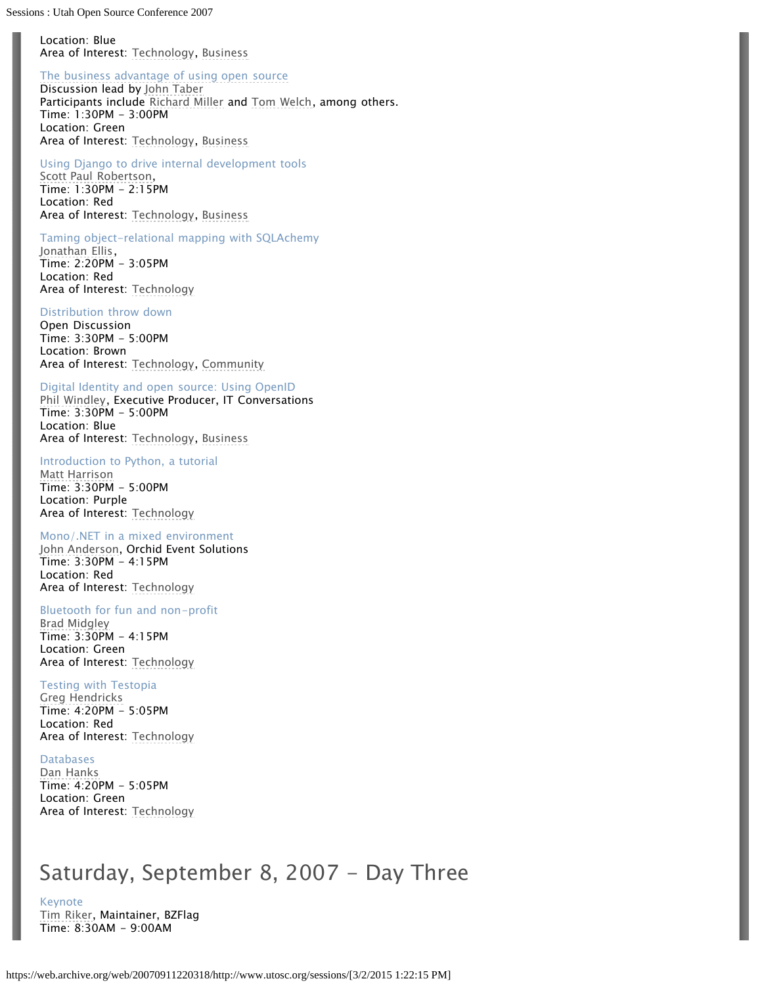Location: Blue Area of Interest: [Technology](https://web.archive.org/web/20070911220318/http://www.utosc.org/sessions/technology), [Business](https://web.archive.org/web/20070911220318/http://www.utosc.org/sessions/business/)

### [The business advantage of using open source](https://web.archive.org/web/20070911220318/http://www.utosc.org/speakers/john-taber)

Discussion lead by [John Taber](https://web.archive.org/web/20070911220318/http://www.utosc.org/speakers/john-taber) Participants include [Richard Miller](https://web.archive.org/web/20070911220318/http://www.utosc.org/speakers/richard-miller) and [Tom Welch](https://web.archive.org/web/20070911220318/http://www.utosc.org/speakers/tom-welch), among others. Time: 1:30PM - 3:00PM Location: Green Area of Interest: [Technology](https://web.archive.org/web/20070911220318/http://www.utosc.org/sessions/technology), [Business](https://web.archive.org/web/20070911220318/http://www.utosc.org/sessions/business/)

### Using Django to drive internal development tools

[Scott Paul Robertson](https://web.archive.org/web/20070911220318/http://www.utosc.org/speakers/scott-paul-robertson), Time: 1:30PM - 2:15PM Location: Red Area of Interest: [Technology](https://web.archive.org/web/20070911220318/http://www.utosc.org/sessions/technology), [Business](https://web.archive.org/web/20070911220318/http://www.utosc.org/sessions/business/)

## Taming object-relational mapping with SQLAchemy

[Jonathan Ellis](https://web.archive.org/web/20070911220318/http://www.utosc.org/speakers/jonathan-ellis), Time: 2:20PM - 3:05PM Location: Red Area of Interest: [Technology](https://web.archive.org/web/20070911220318/http://www.utosc.org/sessions/technology)

### Distribution throw down

Open Discussion Time: 3:30PM - 5:00PM Location: Brown Area of Interest: [Technology](https://web.archive.org/web/20070911220318/http://www.utosc.org/sessions/technology), [Community](https://web.archive.org/web/20070911220318/http://www.utosc.org/sessions/community)

### Digital Identity and open source: Using OpenID

[Phil Windley](https://web.archive.org/web/20070911220318/http://www.utosc.org/speakers/phil-windley), Executive Producer, IT Conversations Time: 3:30PM - 5:00PM Location: Blue Area of Interest: [Technology](https://web.archive.org/web/20070911220318/http://www.utosc.org/sessions/technology), [Business](https://web.archive.org/web/20070911220318/http://www.utosc.org/sessions/business/)

### Introduction to Python, a tutorial

[Matt Harrison](https://web.archive.org/web/20070911220318/http://www.utosc.org/speakers/matt-harrison/) Time: 3:30PM - 5:00PM Location: Purple Area of Interest: [Technology](https://web.archive.org/web/20070911220318/http://www.utosc.org/sessions/technology)

### Mono/.NET in a mixed environment

[John Anderson,](https://web.archive.org/web/20070911220318/http://www.utosc.org/speakers/john-anderson) Orchid Event Solutions Time: 3:30PM - 4:15PM Location: Red Area of Interest: [Technology](https://web.archive.org/web/20070911220318/http://www.utosc.org/sessions/technology)

### Bluetooth for fun and non-profit

[Brad Midgley](https://web.archive.org/web/20070911220318/http://www.utosc.org/speakers/brad-midgley) Time: 3:30PM - 4:15PM Location: Green Area of Interest: [Technology](https://web.archive.org/web/20070911220318/http://www.utosc.org/sessions/technology)

### Testing with Testopia

[Greg Hendricks](https://web.archive.org/web/20070911220318/http://www.utosc.org/speakers/greg-hendricks) Time: 4:20PM - 5:05PM Location: Red Area of Interest: [Technology](https://web.archive.org/web/20070911220318/http://www.utosc.org/sessions/technology)

### Databases

[Dan Hanks](https://web.archive.org/web/20070911220318/http://www.utosc.org/speakers/dan-hanks/) Time: 4:20PM - 5:05PM Location: Green Area of Interest: [Technology](https://web.archive.org/web/20070911220318/http://www.utosc.org/sessions/technology)

## Saturday, September 8, 2007 - Day Three

Keynote [Tim Riker](https://web.archive.org/web/20070911220318/http://www.utosc.org/speakers/tim-riker), Maintainer, BZFlag Time: 8:30AM - 9:00AM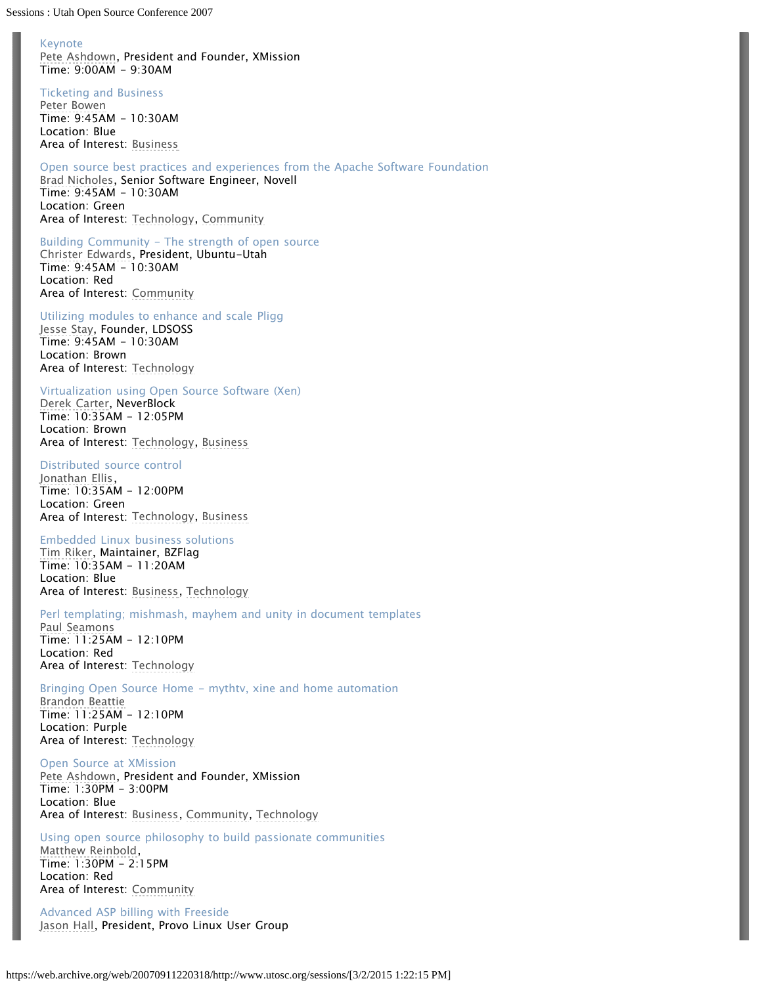Sessions : Utah Open Source Conference 2007

### Keynote

[Pete Ashdown](https://web.archive.org/web/20070911220318/http://www.utosc.org/speakers/pete-ashdown), President and Founder, XMission Time: 9:00AM - 9:30AM

Ticketing and Business

[Peter Bowen](https://web.archive.org/web/20070911220318/http://www.utosc.org/speakers/peter-bowen) Time: 9:45AM - 10:30AM Location: Blue Area of Interest: [Business](https://web.archive.org/web/20070911220318/http://www.utosc.org/sessions/business/)

Open source best practices and experiences from the Apache Software Foundation [Brad Nicholes](https://web.archive.org/web/20070911220318/http://www.utosc.org/speakers/brad-nicholes), Senior Software Engineer, Novell Time: 9:45AM - 10:30AM Location: Green Area of Interest: [Technology](https://web.archive.org/web/20070911220318/http://www.utosc.org/sessions/technology), [Community](https://web.archive.org/web/20070911220318/http://www.utosc.org/sessions/community)

Building Community - The strength of open source [Christer Edwards](https://web.archive.org/web/20070911220318/http://www.utosc.org/speakers/christer-edwards), President, Ubuntu-Utah Time: 9:45AM - 10:30AM Location: Red Area of Interest: [Community](https://web.archive.org/web/20070911220318/http://www.utosc.org/sessions/community)

Utilizing modules to enhance and scale Pligg [Jesse Stay](https://web.archive.org/web/20070911220318/http://www.utosc.org/speakers/jesse-stay), Founder, LDSOSS Time: 9:45AM - 10:30AM Location: Brown Area of Interest: [Technology](https://web.archive.org/web/20070911220318/http://www.utosc.org/sessions/technology)

Virtualization using Open Source Software (Xen)

[Derek Carter](https://web.archive.org/web/20070911220318/http://www.utosc.org/speakers/derek-carter), NeverBlock Time: 10:35AM - 12:05PM Location: Brown Area of Interest: [Technology](https://web.archive.org/web/20070911220318/http://www.utosc.org/sessions/technology), [Business](https://web.archive.org/web/20070911220318/http://www.utosc.org/sessions/business/)

### Distributed source control

[Jonathan Ellis](https://web.archive.org/web/20070911220318/http://www.utosc.org/speakers/jonathan-ellis), Time: 10:35AM - 12:00PM Location: Green Area of Interest: [Technology](https://web.archive.org/web/20070911220318/http://www.utosc.org/sessions/technology), [Business](https://web.archive.org/web/20070911220318/http://www.utosc.org/sessions/business/)

#### Embedded Linux business solutions

[Tim Riker](https://web.archive.org/web/20070911220318/http://www.utosc.org/speakers/tim-riker), Maintainer, BZFlag Time: 10:35AM - 11:20AM Location: Blue Area of Interest: [Business,](https://web.archive.org/web/20070911220318/http://www.utosc.org/sessions/business/) [Technology](https://web.archive.org/web/20070911220318/http://www.utosc.org/sessions/technology)

### Perl templating; mishmash, mayhem and unity in document templates

[Paul Seamons](https://web.archive.org/web/20070911220318/http://www.utosc.org/speakers/paul-seamons) Time: 11:25AM - 12:10PM Location: Red Area of Interest: [Technology](https://web.archive.org/web/20070911220318/http://www.utosc.org/sessions/technology)

Bringing Open Source Home - mythtv, xine and home automation

[Brandon Beattie](https://web.archive.org/web/20070911220318/http://www.utosc.org/speakers/brandon-beattie) Time: 11:25AM - 12:10PM Location: Purple Area of Interest: [Technology](https://web.archive.org/web/20070911220318/http://www.utosc.org/sessions/technology)

Open Source at XMission

[Pete Ashdown](https://web.archive.org/web/20070911220318/http://www.utosc.org/speakers/pete-ashdown), President and Founder, XMission Time: 1:30PM - 3:00PM Location: Blue Area of Interest: [Business,](https://web.archive.org/web/20070911220318/http://www.utosc.org/sessions/business/) [Community](https://web.archive.org/web/20070911220318/http://www.utosc.org/sessions/community), [Technology](https://web.archive.org/web/20070911220318/http://www.utosc.org/sessions/technology)

Using open source philosophy to build passionate communities [Matthew Reinbold](https://web.archive.org/web/20070911220318/http://www.utosc.org/speakers/matthew-reinbold), Time: 1:30PM - 2:15PM Location: Red Area of Interest: [Community](https://web.archive.org/web/20070911220318/http://www.utosc.org/sessions/community)

Advanced ASP billing with Freeside [Jason Hall,](https://web.archive.org/web/20070911220318/http://www.utosc.org/speakers/jason-hall) President, Provo Linux User Group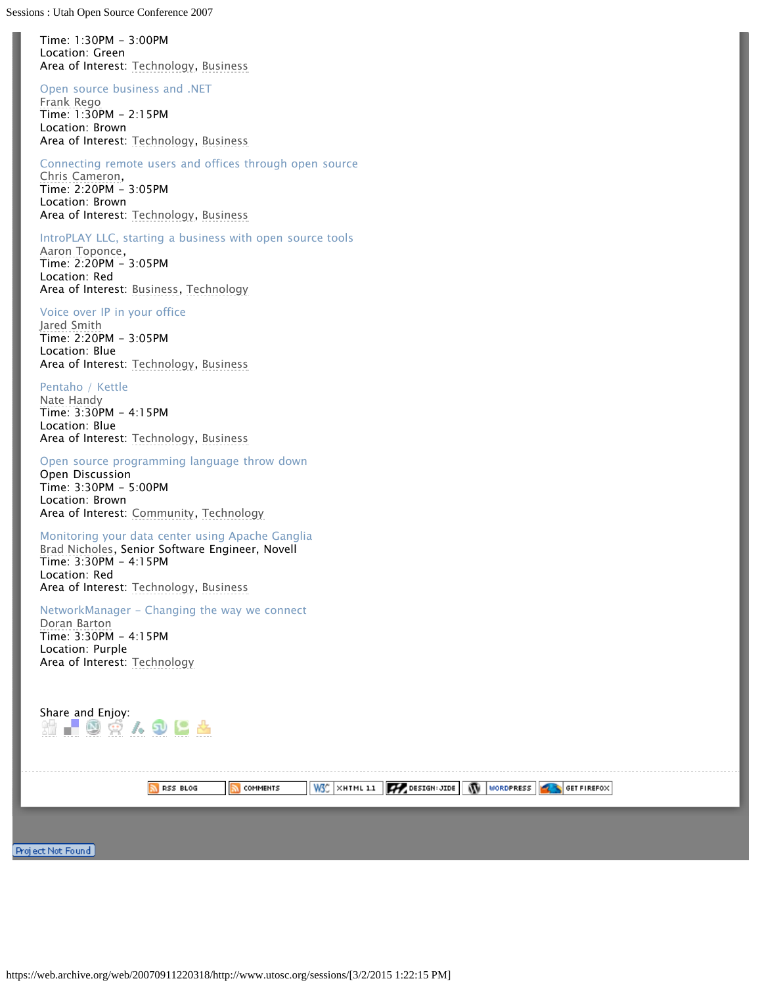Sessions : Utah Open Source Conference 2007

Time: 1:30PM - 3:00PM Location: Green Area of Interest: [Technology](https://web.archive.org/web/20070911220318/http://www.utosc.org/sessions/technology), [Business](https://web.archive.org/web/20070911220318/http://www.utosc.org/sessions/business/)

## Open source business and .NET

[Frank Rego](https://web.archive.org/web/20070911220318/http://www.utosc.org/speakers/frank-rego) Time: 1:30PM - 2:15PM Location: Brown Area of Interest: [Technology](https://web.archive.org/web/20070911220318/http://www.utosc.org/sessions/technology), [Business](https://web.archive.org/web/20070911220318/http://www.utosc.org/sessions/business/)

## Connecting remote users and offices through open source

[Chris Cameron](https://web.archive.org/web/20070911220318/http://www.utosc.org/speakers/chris-cameron), Time: 2:20PM - 3:05PM Location: Brown Area of Interest: [Technology](https://web.archive.org/web/20070911220318/http://www.utosc.org/sessions/technology), [Business](https://web.archive.org/web/20070911220318/http://www.utosc.org/sessions/business/)

### IntroPLAY LLC, starting a business with open source tools

[Aaron Toponce,](https://web.archive.org/web/20070911220318/http://www.utosc.org/speakers/aaron-toponce) Time: 2:20PM - 3:05PM Location: Red Area of Interest: [Business,](https://web.archive.org/web/20070911220318/http://www.utosc.org/sessions/business/) [Technology](https://web.archive.org/web/20070911220318/http://www.utosc.org/sessions/technology)

### Voice over IP in your office

[Jared Smith](https://web.archive.org/web/20070911220318/http://www.utosc.org/speakers/jared-smith) Time: 2:20PM - 3:05PM Location: Blue Area of Interest: [Technology](https://web.archive.org/web/20070911220318/http://www.utosc.org/sessions/technology), [Business](https://web.archive.org/web/20070911220318/http://www.utosc.org/sessions/business/)

### Pentaho / Kettle

[Nate Handy](https://web.archive.org/web/20070911220318/http://www.utosc.org/speakers/nate-handy) Time: 3:30PM - 4:15PM Location: Blue Area of Interest: [Technology](https://web.archive.org/web/20070911220318/http://www.utosc.org/sessions/technology), [Business](https://web.archive.org/web/20070911220318/http://www.utosc.org/sessions/business/)

### Open source programming language throw down

Open Discussion Time: 3:30PM - 5:00PM Location: Brown Area of Interest: [Community](https://web.archive.org/web/20070911220318/http://www.utosc.org/sessions/community), [Technology](https://web.archive.org/web/20070911220318/http://www.utosc.org/sessions/technology)

## Monitoring your data center using Apache Ganglia

[Brad Nicholes](https://web.archive.org/web/20070911220318/http://www.utosc.org/speakers/brad-nicholes), Senior Software Engineer, Novell Time: 3:30PM - 4:15PM Location: Red Area of Interest: [Technology](https://web.archive.org/web/20070911220318/http://www.utosc.org/sessions/technology), [Business](https://web.archive.org/web/20070911220318/http://www.utosc.org/sessions/business/)

### NetworkManager - Changing the way we connect

[Doran Barton](https://web.archive.org/web/20070911220318/http://www.utosc.org/speakers/doran-barton) Time: 3:30PM - 4:15PM Location: Purple Area of Interest: [Technology](https://web.archive.org/web/20070911220318/http://www.utosc.org/sessions/technology)

| Share and Enjoy:<br>$\circ$ $\circ$ $\sim$ $\circ$ $\circ$ |                 |                 |                                                  |  |  |
|------------------------------------------------------------|-----------------|-----------------|--------------------------------------------------|--|--|
|                                                            | <b>RSS BLOG</b> | <b>COMMENTS</b> | WSC XHTML 1.1 4 DESIGN: JIDE WORDPRESS CONTREFOX |  |  |
| Project Not Found ,                                        |                 |                 |                                                  |  |  |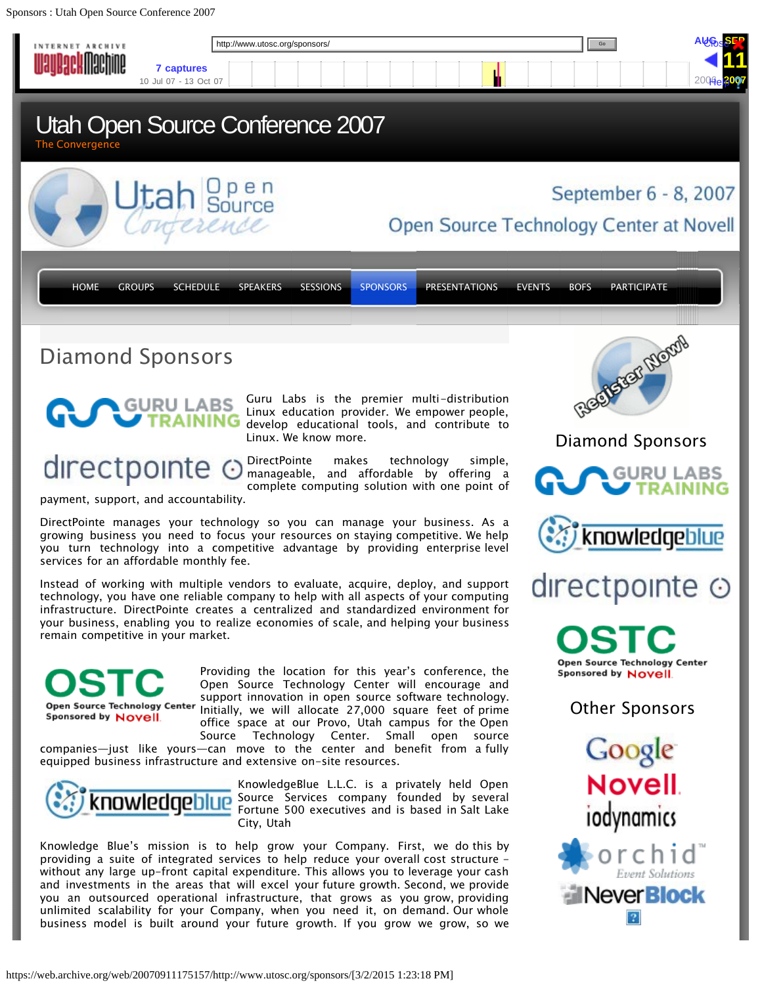<span id="page-14-0"></span>Sponsors : Utah Open Source Conference 2007

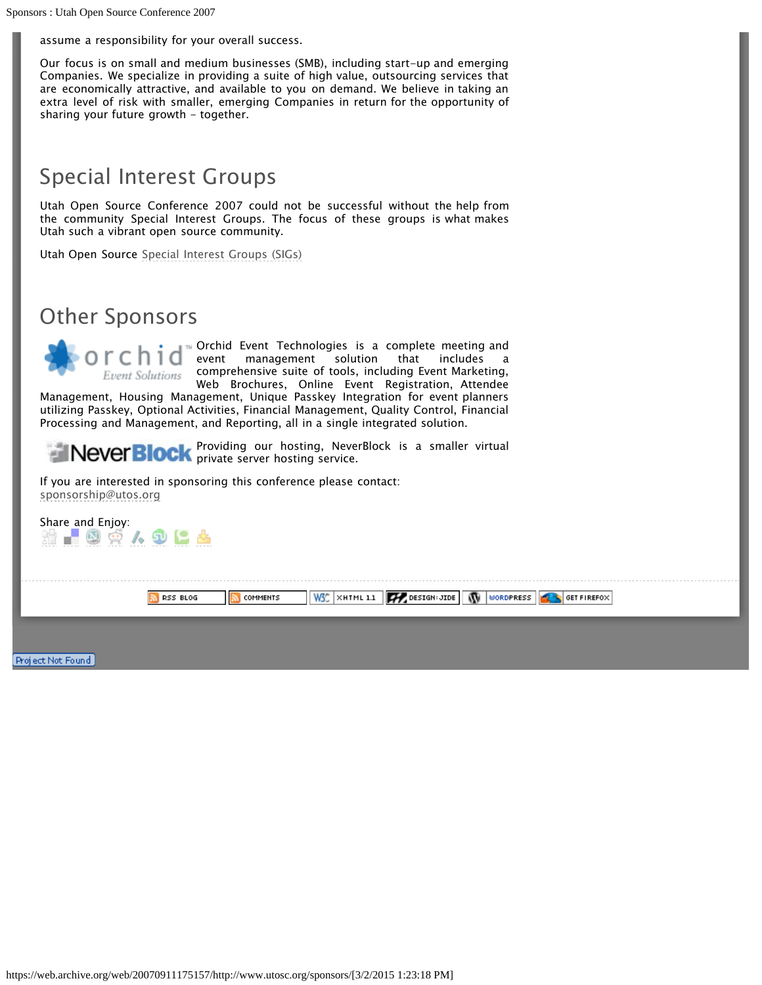assume a responsibility for your overall success.

Our focus is on small and medium businesses (SMB), including start-up and emerging Companies. We specialize in providing a suite of high value, outsourcing services that are economically attractive, and available to you on demand. We believe in taking an extra level of risk with smaller, emerging Companies in return for the opportunity of sharing your future growth - together.

# Special Interest Groups

Utah Open Source Conference 2007 could not be successful without the help from the community Special Interest Groups. The focus of these groups is what makes Utah such a vibrant open source community.

Utah Open Source [Special Interest Groups \(SIGs\)](https://web.archive.org/web/20070911175157/http://www.utosc.org/sponsors/special-interest-groups-sigs/)

## Other Sponsors

Orchid Event Technologies is a complete meeting and event management solution that includes a comprehensive suite of tools, including Event Marketing, Event Solutions Web Brochures, Online Event Registration, Attendee

Management, Housing Management, Unique Passkey Integration for event planners utilizing Passkey, Optional Activities, Financial Management, Quality Control, Financial Processing and Management, and Reporting, all in a single integrated solution.

Providing our hosting, NeverBlock is a smaller virtual private server hosting service.

If you are interested in sponsoring this conference please contact: [sponsorship@utos.org](mailto:sponsorship@utos.org)

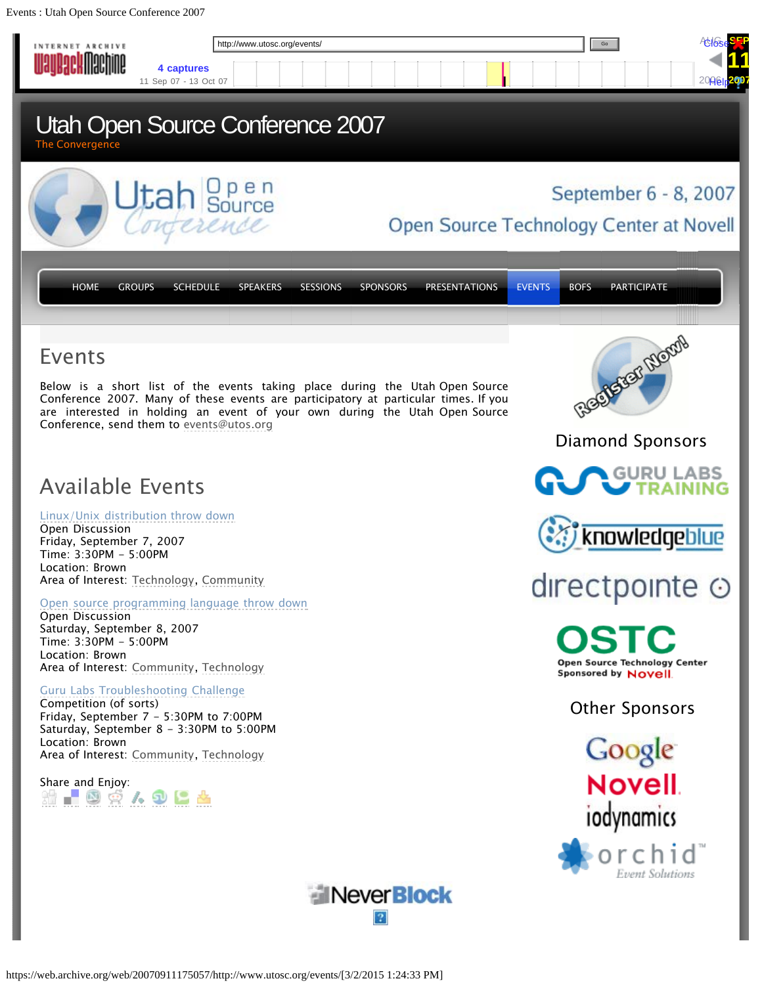<span id="page-16-0"></span>Events : Utah Open Source Conference 2007

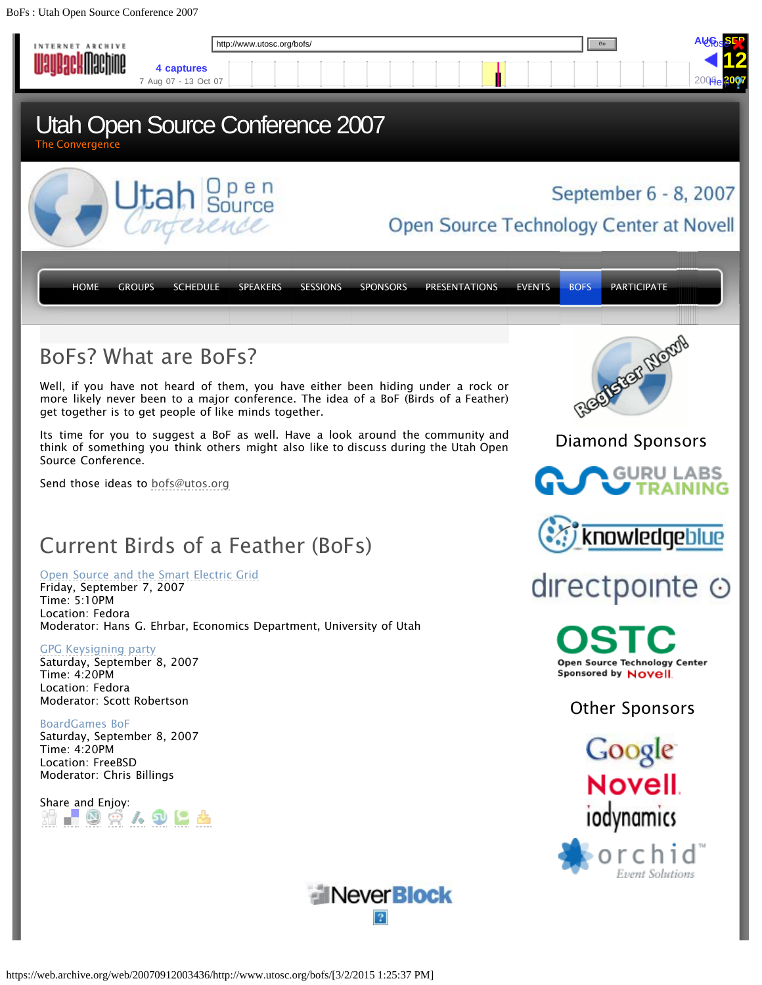<span id="page-17-0"></span>BoFs : Utah Open Source Conference 2007

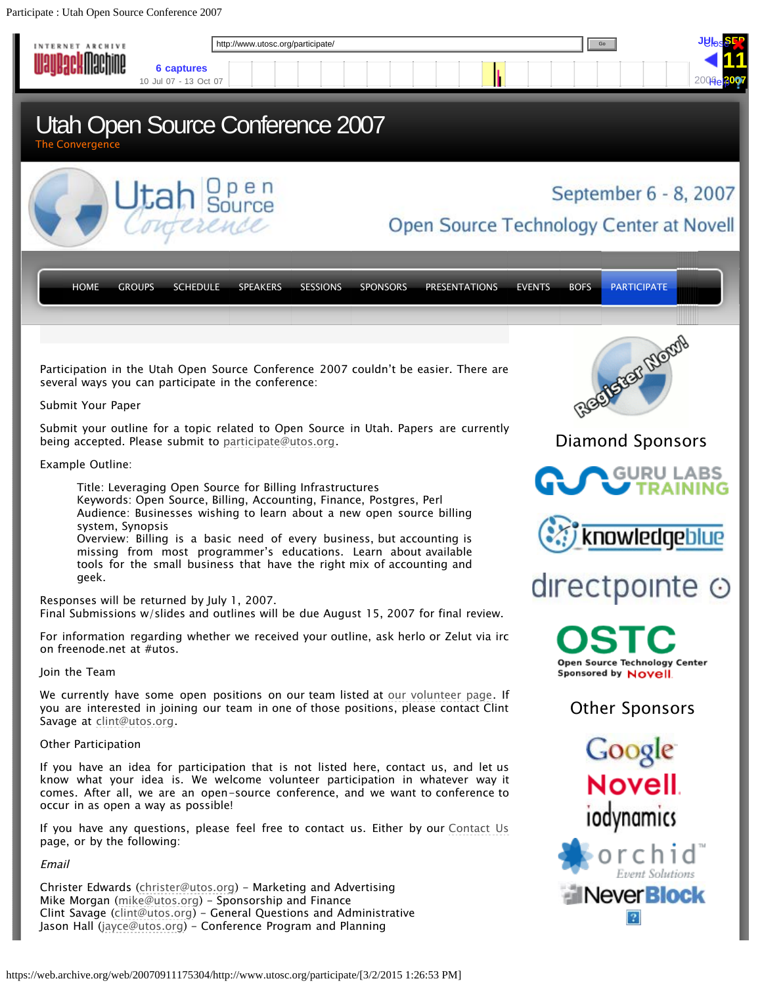<span id="page-18-0"></span>Participate : Utah Open Source Conference 2007